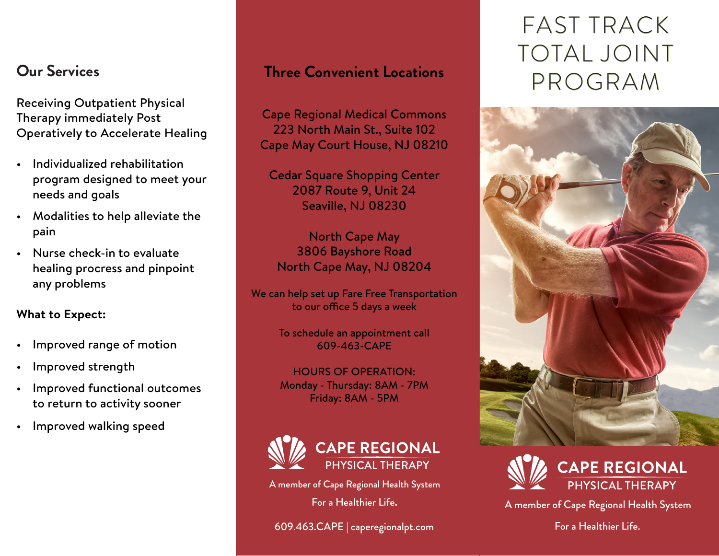Receiving Outpatient Physical Therapy immediately Post Operatively to Accelerate Healing

- Individualized rehabilitation program designed to meet your needs and goals
- Modalities to help alleviate the pain
- Nurse check-in to evaluate healing procress and pinpoint any problems

### **What to Expect:**

- Improved range of motion
- Improved strength
- Improved functional outcomes to return to activity sooner
- Improved walking speed

## **Three Convenient Locations**

Cape Regional Medical Commons 223 North Main St., Suite 102 Cape May Court House, NJ 08210

Cedar Square Shopping Center 2087 Route 9, Unit 24 Seaville, NJ 08230

North Cape May 3806 Bayshore Road North Cape May, NJ 08204

We can help set up Fare Free Transportation to our office 5 days a week

> To schedule an appointment call 609-463-CAPE

> HOURS OF OPERATION: Monday - Thursday: 8AM - 7PM Friday: 8AM - 5PM



A member of Cape Regional Health System

For a Healthier Life**.**

609.463.CAPE | caperegionalpt.com

# FAST TRACK TOTAL JOINT **Our Services COLOGRAM <b>Three Convenient Locations PROGRAM**





A member of Cape Regional Health System

For a Healthier Life.